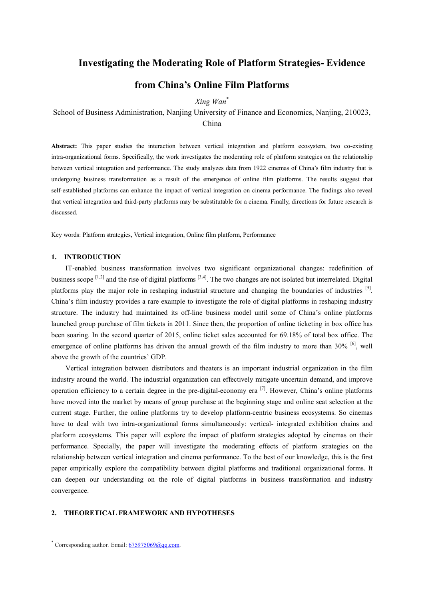# **Investigating the Moderating Role of Platform Strategies- Evidence**

# **from China's Online Film Platforms**

*Xing Wan*\*

School of Business Administration, Nanjing University of Finance and Economics, Nanjing, 210023, China

**Abstract:** This paper studies the interaction between vertical integration and platform ecosystem, two co-existing intra-organizational forms. Specifically, the work investigates the moderating role of platform strategies on the relationship between vertical integration and performance. The study analyzes data from 1922 cinemas of China's film industry that is undergoing business transformation as a result of the emergence of online film platforms. The results suggest that self-established platforms can enhance the impact of vertical integration on cinema performance. The findings also reveal that vertical integration and third-party platforms may be substitutable for a cinema. Finally, directions for future research is discussed.

Key words: Platform strategies, Vertical integration, Online film platform, Performance

### **1. INTRODUCTION**

IT-enabled business transformation involves two significant organizational changes: redefinition of business scope  $^{[1,2]}$  $^{[1,2]}$  $^{[1,2]}$  $^{[1,2]}$  $^{[1,2]}$  and the rise of digital platforms  $^{[3,4]}$  $^{[3,4]}$  $^{[3,4]}$  $^{[3,4]}$  $^{[3,4]}$ . The two changes are not isolated but interrelated. Digital platforms play the major role in reshaping industrial structure and changing the boundaries of industries [\[5](#page-6-0)]. China's film industry provides a rare example to investigate the role of digital platforms in reshaping industry structure. The industry had maintained its off-line business model until some of China's online platforms launched group purchase of film tickets in 2011. Since then, the proportion of online ticketing in box office has been soaring. In the second quarter of 2015, online ticket sales accounted for 69.18% of total box office. The emergence of online platforms has driven the annual growth of the film industry to more than 30% [[6](#page-6-0)], well above the growth of the countries' GDP.

Vertical integration between distributors and theaters is an important industrial organization in the film industry around the world. The industrial organization can effectively mitigate uncertain demand, and improve operation efficiency to a certain degree in the pre-digital-economy era <sup>[[7](#page-6-0)]</sup>. However, China's online platforms have moved into the market by means of group purchase at the beginning stage and online seat selection at the current stage. Further, the online platforms try to develop platform-centric business ecosystems. So cinemas have to deal with two intra-organizational forms simultaneously: vertical- integrated exhibition chains and platform ecosystems. This paper will explore the impact of platform strategies adopted by cinemas on their performance. Specially, the paper will investigate the moderating effects of platform strategies on the relationship between vertical integration and cinema performance. To the best of our knowledge, this is the first paper empirically explore the compatibility between digital platforms and traditional organizational forms. It can deepen our understanding on the role of digital platforms in business transformation and industry convergence.

## **2. THEORETICAL FRAMEWORK AND HYPOTHESES**

Corresponding author. Email:  $675975069$ @qq.com.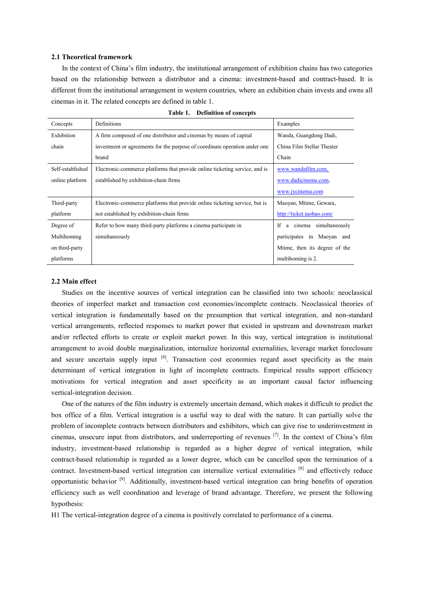### **2.1 Theoretical framework**

In the context of China's film industry, the institutional arrangement of exhibition chains has two categories based on the relationship between a distributor and a cinema: investment-based and contract-based. It is different from the institutional arrangement in western countries, where an exhibition chain invests and owns all cinemas in it. The related concepts are defined in table 1.

| Concepts         | <b>Definitions</b>                                                          | Examples                       |
|------------------|-----------------------------------------------------------------------------|--------------------------------|
| Exhibition       | A firm composed of one distributor and cinemas by means of capital          | Wanda, Guangdong Dadi,         |
| chain            | investment or agreements for the purpose of coordinate operation under one  | China Film Stellar Theater     |
|                  | brand                                                                       | Chain                          |
| Self-established | Electronic-commerce platforms that provide online ticketing service, and is | www.wandafilm.com,             |
| online platform  | established by exhibition-chain firms                                       | www.dadicinema.com,            |
|                  |                                                                             | www.jycinema.com               |
| Third-party      | Electronic-commerce platforms that provide online ticketing service, but is | Maoyan, Mtime, Gewara,         |
| platform         | not established by exhibition-chain firms                                   | http://ticket.taobao.com/      |
| Degree of        | Refer to how many third-party platforms a cinema participate in             | a cinema simultaneously<br>If. |
| Multihoming      | simultaneously                                                              | participates in Maoyan and     |
| on third-party   |                                                                             | Mtime, then its degree of the  |
| platforms        |                                                                             | multihoming is 2.              |

| Table 1. |  | <b>Definition of concepts</b> |
|----------|--|-------------------------------|
|----------|--|-------------------------------|

### **2.2 Main effect**

Studies on the incentive sources of vertical integration can be classified into two schools: neoclassical theories of imperfect market and transaction cost economies/incomplete contracts. Neoclassical theories of vertical integration is fundamentally based on the presumption that vertical integration, and non-standard vertical arrangements, reflected responses to market power that existed in upstream and downstream market and/or reflected efforts to create or exploit market power. In this way, vertical integration is institutional arrangement to avoid double marginalization, internalize horizontal externalities, leverage market foreclosure and secure uncertain supply input [8]. Transaction cost economies regard asset specificity as the main determinant of vertical integration in light of incomplete contracts. Empirical results support efficiency motivations for vertical integration and asset specificity as an important causal factor influencing vertical-integration decision.

One of the natures of the film industry is extremely uncertain demand, which makes it difficult to predict the box office of a film. Vertical integration is a useful way to deal with the nature. It can partially solve the problem of incomplete contracts between distributors and exhibitors, which can give rise to underinvestment in cinemas, unsecure input from distributors, and underreporting of revenues [7] . In the context of China's film industry, investment-based relationship is regarded as a higher degree of vertical integration, while contract-based relationship is regarded as a lower degree, which can be cancelled upon the termination of a contract. Investment-based vertical integration can internalize vertical externalities [8] and effectively reduce opportunistic behavior <sup>[9]</sup>. Additionally, investment-based vertical integration can bring benefits of operation efficiency such as well coordination and leverage of brand advantage. Therefore, we present the following hypothesis:

H1 The vertical-integration degree of a cinema is positively correlated to performance of a cinema.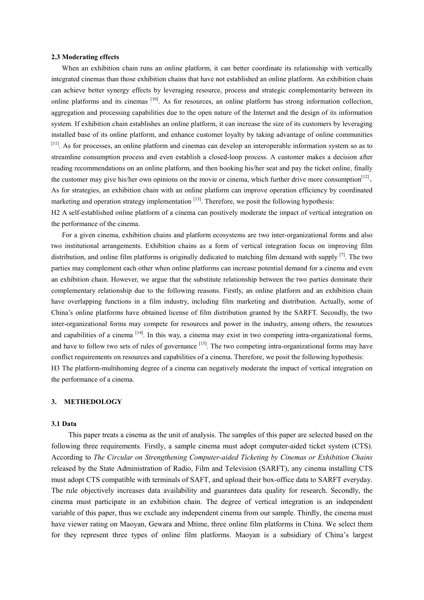### **2.3 Moderating effects**

When an exhibition chain runs an online platform, it can better coordinate its relationship with vertically integrated cinemas than those exhibition chains that have not established an online platform. An exhibition chain can achieve better synergy effects by leveraging resource, process and strategic complementarity between its online platforms and its cinemas <sup>[10]</sup>. As for resources, an online platform has strong information collection, aggregation and processing capabilities due to the open nature of the Internet and the design of its information system. If exhibition chain establishes an online platform, it can increase the size of its customers by leveraging installed base of its online platform, and enhance customer loyalty by taking advantage of online communities [11]. As for processes, an online platform and cinemas can develop an interoperable information system so as to streamline consumption process and even establish a closed-loop process. A customer makes a decision after reading recommendations on an online platform, and then booking his/her seat and pay the ticket online, finally the customer may give his/her own opinions on the movie or cinema, which further drive more consumption<sup>[12]</sup>. As for strategies, an exhibition chain with an online platform can improve operation efficiency by coordinated marketing and operation strategy implementation <sup>[13]</sup>. Therefore, we posit the following hypothesis:

H2 A self-established online platform of a cinema can positively moderate the impact of vertical integration on the performance of the cinema.

For a given cinema, exhibition chains and platform ecosystems are two inter-organizational forms and also two institutional arrangements. Exhibition chains as a form of vertical integration focus on improving film distribution, and online film platforms is originally dedicated to matching film demand with supply <sup>[7]</sup>. The two parties may complement each other when online platforms can increase potential demand for a cinema and even an exhibition chain. However, we argue that the substitute relationship between the two parties dominate their complementary relationship due to the following reasons. Firstly, an online platform and an exhibition chain have overlapping functions in a film industry, including film marketing and distribution. Actually, some of China's online platforms have obtained license of film distribution granted by the SARFT. Secondly, the two inter-organizational forms may compete for resources and power in the industry, among others, the resources and capabilities of a cinema <sup>[14]</sup>. In this way, a cinema may exist in two competing intra-organizational forms, and have to follow two sets of rules of governance [15]. The two competing intra-organizational forms may have conflict requirements on resources and capabilities of a cinema. Therefore, we posit the following hypothesis: H3 The platform-multihoming degree of a cinema can negatively moderate the impact of vertical integration on the performance of a cinema.

### **3. METHEDOLOGY**

## **3.1 Data**

This paper treats a cinema as the unit of analysis. The samples of this paper are selected based on the following three requirements. Firstly, a sample cinema must adopt computer-aided ticket system (CTS). According to *The Circular on Strengthening Computer-aided Ticketing by Cinemas or Exhibition Chains* released by the State Administration of Radio, Film and Television (SARFT), any cinema installing CTS must adopt CTS compatible with terminals of SAFT, and upload their box-office data to SARFT everyday. The rule objectively increases data availability and guarantees data quality for research. Secondly, the cinema must participate in an exhibition chain. The degree of vertical integration is an independent variable of this paper, thus we exclude any independent cinema from our sample. Thirdly, the cinema must have viewer rating on Maoyan, Gewara and Mtime, three online film platforms in China. We select them for they represent three types of online film platforms. Maoyan is a subsidiary of China's largest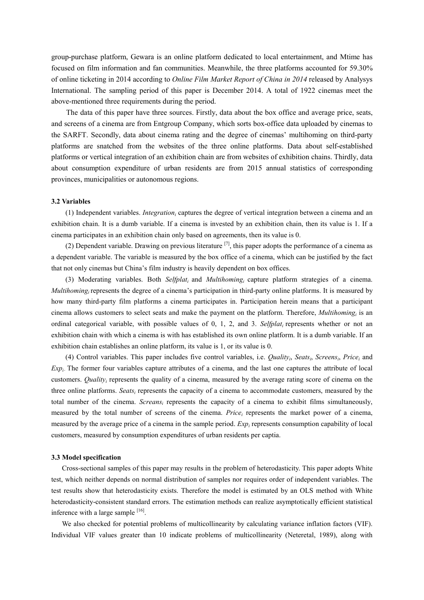group-purchase platform, Gewara is an online platform dedicated to local entertainment, and Mtime has focused on film information and fan communities. Meanwhile, the three platforms accounted for 59.30% of online ticketing in 2014 according to *Online Film Market Report of China in 2014* released by Analysys International. The sampling period of this paper is December 2014. A total of 1922 cinemas meet the above-mentioned three requirements during the period.

The data of this paper have three sources. Firstly, data about the box office and average price, seats, and screens of a cinema are from Entgroup Company, which sorts box-office data uploaded by cinemas to the SARFT. Secondly, data about cinema rating and the degree of cinemas' multihoming on third-party platforms are snatched from the websites of the three online platforms. Data about self-established platforms or vertical integration of an exhibition chain are from websites of exhibition chains. Thirdly, data about consumption expenditure of urban residents are from 2015 annual statistics of corresponding provinces, municipalities or autonomous regions.

### **3.2 Variables**

(1) Independent variables. *Integrationi* captures the degree of vertical integration between a cinema and an exhibition chain. It is a dumb variable. If a cinema is invested by an exhibition chain, then its value is 1. If a cinema participates in an exhibition chain only based on agreements, then its value is 0.

(2) Dependent variable. Drawing on previous literature  $^{[7]}$ , this paper adopts the performance of a cinema as a dependent variable. The variable is measured by the box office of a cinema, which can be justified by the fact that not only cinemas but China's film industry is heavily dependent on box offices.

(3) Moderating variables. Both *Selfplati* and *Multihomingi* capture platform strategies of a cinema. *Multihoming<sub>i</sub>* represents the degree of a cinema's participation in third-party online platforms. It is measured by how many third-party film platforms a cinema participates in. Participation herein means that a participant cinema allows customers to select seats and make the payment on the platform. Therefore, *Multihoming<sub>i</sub>* is an ordinal categorical variable, with possible values of 0, 1, 2, and 3. *Selfplati* represents whether or not an exhibition chain with which a cinema is with has established its own online platform. It is a dumb variable. If an exhibition chain establishes an online platform, its value is 1, or its value is 0.

(4) Control variables. This paper includes five control variables, i.e. *Qualityi*, *Seatsi*, *Screensi*, *Pricei* and *Expi*。The former four variables capture attributes of a cinema, and the last one captures the attribute of local customers. *Qualityi* represents the quality of a cinema, measured by the average rating score of cinema on the three online platforms. *Seatsi* represents the capacity of a cinema to accommodate customers, measured by the total number of the cinema. *Screansi* represents the capacity of a cinema to exhibit films simultaneously, measured by the total number of screens of the cinema. *Pricei* represents the market power of a cinema, measured by the average price of a cinema in the sample period. *Expi* represents consumption capability of local customers, measured by consumption expenditures of urban residents per captia.

### **3.3 Model specification**

Cross-sectional samples of this paper may results in the problem of heterodasticity. This paper adopts White test, which neither depends on normal distribution of samples nor requires order of independent variables. The test results show that heterodasticity exists. Therefore the model is estimated by an OLS method with White heterodasticity-consistent standard errors. The estimation methods can realize asymptotically efficient statistical inference with a large sample [16].

We also checked for potential problems of multicollinearity by calculating variance inflation factors (VIF). Individual VIF values greater than 10 indicate problems of multicollinearity (Neteretal, 1989), along with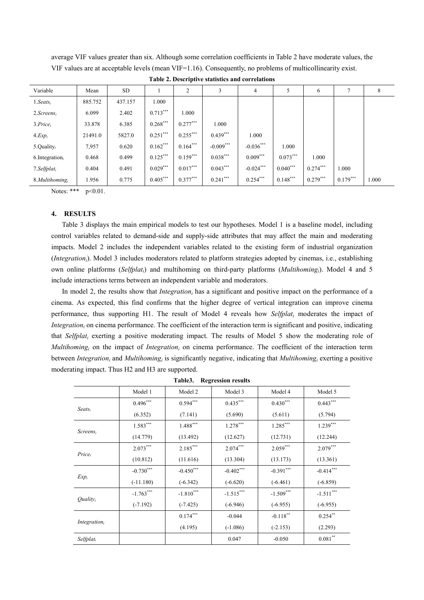| Variable                            | Mean    | SD      |            | 2          |             | 4           |            | 6          |            | 8     |
|-------------------------------------|---------|---------|------------|------------|-------------|-------------|------------|------------|------------|-------|
| $1.Seats_i$                         | 885.752 | 437.157 | 1.000      |            |             |             |            |            |            |       |
| $2.Screens_i$                       | 6.099   | 2.402   | $0.713***$ | 1.000      |             |             |            |            |            |       |
| 3. Price <sub>i</sub>               | 33.878  | 6.385   | $0.268***$ | $0.277***$ | 1.000       |             |            |            |            |       |
| $4. Exp_i$                          | 21491.0 | 5827.0  | $0.251***$ | $0.255***$ | $0.439***$  | 1.000       |            |            |            |       |
| 5.Quality $_i$                      | 7,957   | 0.620   | $0.162***$ | $0.164***$ | $-0.009***$ | $-0.036***$ | 1.000      |            |            |       |
| $6.$ Integration <sub>i</sub>       | 0.468   | 0.499   | $0.125***$ | $0.159***$ | $0.038***$  | $0.009***$  | $0.073***$ | 1.000      |            |       |
| 7. Selfplat <sub>i</sub>            | 0.404   | 0.491   | $0.029***$ | $0.017***$ | $0.043***$  | $-0.024***$ | $0.040***$ | $0.274***$ | 1.000      |       |
| $8.$ <i>Multihoming<sub>i</sub></i> | 1.956   | 0.775   | $0.405***$ | $0.377***$ | $0.241***$  | $0.254***$  | $0.148***$ | $0.279***$ | $0.179***$ | 1.000 |

**Table 2. Descriptive statistics and correlations**

average VIF values greater than six. Although some correlation coefficients in Table 2 have moderate values, the VIF values are at acceptable levels (mean VIF=1.16). Consequently, no problems of multicollinearity exist.

Notes: \*\*\* p<0.01.

### **4. RESULTS**

Table 3 displays the main empirical models to test our hypotheses. Model 1 is a baseline model, including control variables related to demand-side and supply-side attributes that may affect the main and moderating impacts. Model 2 includes the independent variables related to the existing form of industrial organization (*Integrationi*). Model 3 includes moderators related to platform strategies adopted by cinemas, i.e., establishing own online platforms (*Selfplati*) and multihoming on third-party platforms (*Multihomingi*). Model 4 and 5 include interactions terms between an independent variable and moderators.

In model 2, the results show that *Integration<sub>i</sub>* has a significant and positive impact on the performance of a cinema. As expected, this find confirms that the higher degree of vertical integration can improve cinema performance, thus supporting H1. The result of Model 4 reveals how *Selfplati* moderates the impact of *Integration<sub>i</sub>* on cinema performance. The coefficient of the interaction term is significant and positive, indicating that *Selfplati* exerting a positive moderating impact. The results of Model 5 show the moderating role of *Multihoming<sub>i</sub>* on the impact of *Integration<sub>i</sub>* on cinema performance. The coefficient of the interaction term between *Integrationi* and *Multihomingi* is significantly negative, indicating that *Multihomingi* exerting a positive moderating impact. Thus H2 and H3 are supported.

|                          | Model 1     | Model 2     | Model 3     | Model 4     | Model 5       |  |  |
|--------------------------|-------------|-------------|-------------|-------------|---------------|--|--|
| $S$ eats <sub>i</sub>    | $0.496***$  | $0.594***$  | $0.435***$  | $0.430***$  | $0.443***$    |  |  |
|                          | (6.352)     | (7.141)     | (5.690)     | (5.611)     | (5.794)       |  |  |
| $Screens_i$              | $1.583***$  | $1.488***$  | $1.278***$  | $1.285***$  | $1.239***$    |  |  |
|                          | (14.779)    | (13.492)    | (12.627)    | (12.731)    | (12.244)      |  |  |
| $Price_i$                | $2.073***$  | $2.185***$  | $2.074***$  | $2.059***$  | $2.079***$    |  |  |
|                          | (10.812)    | (11.616)    | (13.304)    | (13.173)    | (13.361)      |  |  |
|                          | $-0.730***$ | $-0.450***$ | $-0.402***$ | $-0.391***$ | $-0.414***$   |  |  |
| $Exp_i$                  | $(-11.180)$ | $(-6.342)$  | $(-6.620)$  | $(-6.461)$  | $(-6.859)$    |  |  |
| Quality <sub>i</sub>     | $-1.763***$ | $-1.810***$ | $-1.515***$ | $-1.509***$ | $-1.511***$   |  |  |
|                          | $(-7.192)$  | $(-7.425)$  | $(-6.946)$  | $(-6.955)$  | $(-6.955)$    |  |  |
| Integration <sub>i</sub> |             | $0.174***$  | $-0.044$    | $-0.118***$ | $0.254***$    |  |  |
|                          |             | (4.195)     | $(-1.086)$  | $(-2.153)$  | (2.293)       |  |  |
| Selfplat <sub>i</sub>    |             |             | 0.047       | $-0.050$    | $0.081\sp{*}$ |  |  |

**Table3. Regression results**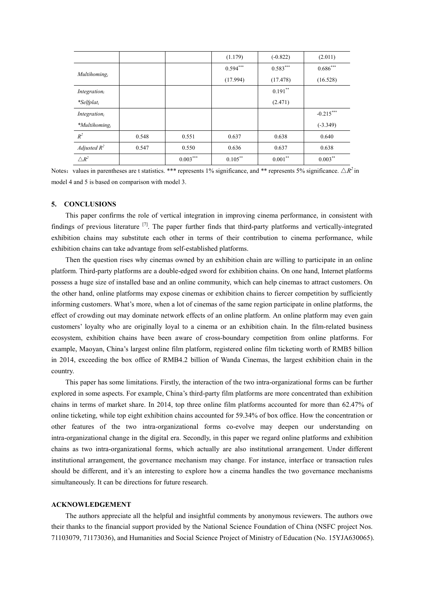|                              |       |            | (1.179)    | $(-0.822)$ | (2.011)     |
|------------------------------|-------|------------|------------|------------|-------------|
| Multihoming <sub>i</sub>     |       |            | $0.594***$ | $0.583***$ | $0.686***$  |
|                              |       |            | (17.994)   | (17.478)   | (16.528)    |
| Integration                  |       |            |            | $0.191***$ |             |
| $*Selfplat_i$                |       |            |            | (2.471)    |             |
| Integration                  |       |            |            |            | $-0.215***$ |
| $*$ Multihoming <sub>i</sub> |       |            |            |            | $(-3.349)$  |
| $R^2$                        | 0.548 | 0.551      | 0.637      | 0.638      | 0.640       |
| Adjusted $R^2$               | 0.547 | 0.550      | 0.636      | 0.637      | 0.638       |
| $\triangle R^2$              |       | $0.003***$ | $0.105***$ | $0.001***$ | $0.003***$  |

Notes: values in parentheses are t statistics. \*\*\* represents 1% significance, and \*\* represents 5% significance.  $\Delta R^2$  in model 4 and 5 is based on comparison with model 3.

### **5. CONCLUSIONS**

This paper confirms the role of vertical integration in improving cinema performance, in consistent with findings of previous literature <sup>[7]</sup>. The paper further finds that third-party platforms and vertically-integrated exhibition chains may substitute each other in terms of their contribution to cinema performance, while exhibition chains can take advantage from self-established platforms.

Then the question rises why cinemas owned by an exhibition chain are willing to participate in an online platform. Third-party platforms are a double-edged sword for exhibition chains. On one hand, Internet platforms possess a huge size of installed base and an online community, which can help cinemas to attract customers. On the other hand, online platforms may expose cinemas or exhibition chains to fiercer competition by sufficiently informing customers. What's more, when a lot of cinemas of the same region participate in online platforms, the effect of crowding out may dominate network effects of an online platform. An online platform may even gain customers' loyalty who are originally loyal to a cinema or an exhibition chain. In the film-related business ecosystem, exhibition chains have been aware of cross-boundary competition from online platforms. For example, Maoyan, China's largest online film platform, registered online film ticketing worth of RMB5 billion in 2014, exceeding the box office of RMB4.2 billion of Wanda Cinemas, the largest exhibition chain in the country.

This paper has some limitations. Firstly, the interaction of the two intra-organizational forms can be further explored in some aspects. For example, China's third-party film platforms are more concentrated than exhibition chains in terms of market share. In 2014, top three online film platforms accounted for more than 62.47% of online ticketing, while top eight exhibition chains accounted for 59.34% of box office. How the concentration or other features of the two intra-organizational forms co-evolve may deepen our understanding on intra-organizational change in the digital era. Secondly, in this paper we regard online platforms and exhibition chains as two intra-organizational forms, which actually are also institutional arrangement. Under different institutional arrangement, the governance mechanism may change. For instance, interface or transaction rules should be different, and it's an interesting to explore how a cinema handles the two governance mechanisms simultaneously. It can be directions for future research.

### **ACKNOWLEDGEMENT**

The authors appreciate all the helpful and insightful comments by anonymous reviewers. The authors owe their thanks to the financial support provided by the National Science Foundation of China (NSFC project Nos. 71103079, 71173036), and Humanities and Social Science Project of Ministry of Education (No. 15YJA630065).